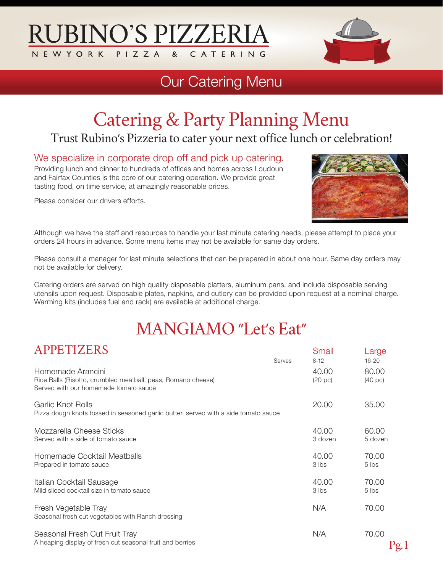#### **RUBINO'S PIZZERIA** NFWYORK  $P$  | 7 7 A CATERING  $\mathbf{z}$



### Our Catering Menu

### Catering & Party Planning Menu

#### Trust Rubino's Pizzeria to cater your next office lunch or celebration!

We specialize in corporate drop off and pick up catering.

Providing lunch and dinner to hundreds of offices and homes across Loudoun and Fairfax Counties is the core of our catering operation. We provide great tasting food, on time service, at amazingly reasonable prices.

Please consider our drivers efforts.



Although we have the staff and resources to handle your last minute catering needs, please attempt to place your orders 24 hours in advance. Some menu items may not be available for same day orders.

Please consult a manager for last minute selections that can be prepared in about one hour. Same day orders may not be available for delivery.

Catering orders are served on high quality disposable platters, aluminum pans, and include disposable serving utensils upon request. Disposable plates, napkins, and cutlery can be provided upon request at a nominal charge. Warming kits (includes fuel and rack) are available at additional charge.

### MANGIAMO "Let's Eat"

#### APPETIZERS Small Large

|                                                                                                                            | Serves | $8 - 12$         | –u⊢y∪<br>$16 - 20$ |
|----------------------------------------------------------------------------------------------------------------------------|--------|------------------|--------------------|
| Homemade Arancini<br>Rice Balls (Risotto, crumbled meatball, peas, Romano cheese)<br>Served with our homemade tomato sauce |        | 40.00<br>(20~pc) | 80.00<br>(40~pc)   |
| Garlic Knot Rolls<br>Pizza dough knots tossed in seasoned garlic butter, served with a side tomato sauce                   |        | 20.00            | 35.00              |
| Mozzarella Cheese Sticks<br>Served with a side of tomato sauce                                                             |        | 40.00<br>3 dozen | 60.00<br>5 dozen   |
| Homemade Cocktail Meatballs<br>Prepared in tomato sauce                                                                    |        | 40.00<br>3 lbs   | 70.00<br>$5$ lbs   |
| Italian Cocktail Sausage<br>Mild sliced cocktail size in tomato sauce                                                      |        | 40.00<br>3 lbs   | 70.00<br>$5$ lbs   |
| Fresh Vegetable Tray<br>Seasonal fresh cut vegetables with Ranch dressing                                                  |        | N/A              | 70.00              |
| Seasonal Fresh Cut Fruit Tray<br>A heaping display of fresh cut seasonal fruit and berries                                 |        | N/A              | 70.00<br>Pg.1      |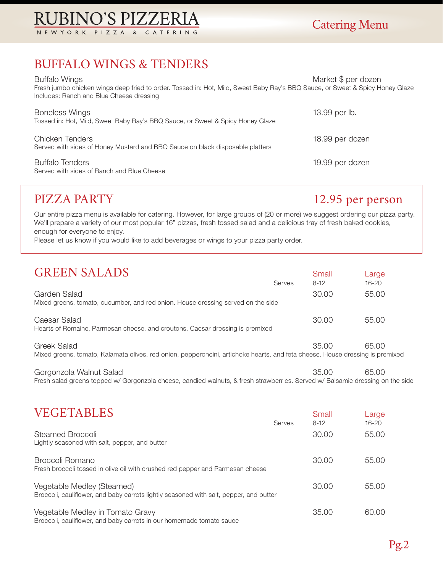#### BUFFALO WINGS & TENDERS

| <b>Buffalo Wings</b><br>Fresh jumbo chicken wings deep fried to order. Tossed in: Hot, Mild, Sweet Baby Ray's BBQ Sauce, or Sweet & Spicy Honey Glaze<br>Includes: Ranch and Blue Cheese dressing | Market \$ per dozen |
|---------------------------------------------------------------------------------------------------------------------------------------------------------------------------------------------------|---------------------|
| <b>Boneless Wings</b><br>Tossed in: Hot, Mild, Sweet Baby Ray's BBQ Sauce, or Sweet & Spicy Honey Glaze                                                                                           | 13.99 per lb.       |
| Chicken Tenders<br>Served with sides of Honey Mustard and BBQ Sauce on black disposable platters                                                                                                  | 18.99 per dozen     |
| <b>Buffalo Tenders</b><br>Served with sides of Ranch and Blue Cheese                                                                                                                              | 19.99 per dozen     |

PIZZA PARTY 12.95 per person

Our entire pizza menu is available for catering. However, for large groups of (20 or more) we suggest ordering our pizza party. We'll prepare a variety of our most popular 16" pizzas, fresh tossed salad and a delicious tray of fresh baked cookies, enough for everyone to enjoy.

Please let us know if you would like to add beverages or wings to your pizza party order.

#### GREEN SALADS Small Large

|                                                                                                                                              | Serves | $8-12$ | $16 - 20$ |
|----------------------------------------------------------------------------------------------------------------------------------------------|--------|--------|-----------|
| Garden Salad<br>Mixed greens, tomato, cucumber, and red onion. House dressing served on the side                                             |        | 30.00  | 55.00     |
| Caesar Salad<br>Hearts of Romaine, Parmesan cheese, and croutons. Caesar dressing is premixed                                                |        | 30.00  | 55.00     |
| Greek Salad<br>Mixed greens, tomato, Kalamata olives, red onion, pepperoncini, artichoke hearts, and feta cheese. House dressing is premixed |        | 35.00  | 65.00     |

Gorgonzola Walnut Salad 35.00 65.00 Fresh salad greens topped w/ Gorgonzola cheese, candied walnuts, & fresh strawberries. Served w/ Balsamic dressing on the side

| <b>VEGETABLES</b>                                                                                                    | Serves | Small<br>$8-12$ | Large<br>$16 - 20$ |
|----------------------------------------------------------------------------------------------------------------------|--------|-----------------|--------------------|
| Steamed Broccoli<br>Lightly seasoned with salt, pepper, and butter                                                   |        | 30.00           | 55.00              |
| Broccoli Romano<br>Fresh broccoli tossed in olive oil with crushed red pepper and Parmesan cheese                    |        | 30.00           | 55.00              |
| Vegetable Medley (Steamed)<br>Broccoli, cauliflower, and baby carrots lightly seasoned with salt, pepper, and butter |        | 30.00           | 55.00              |
| Vegetable Medley in Tomato Gravy<br>Broccoli, cauliflower, and baby carrots in our homemade tomato sauce             |        | 35.00           | 60.00              |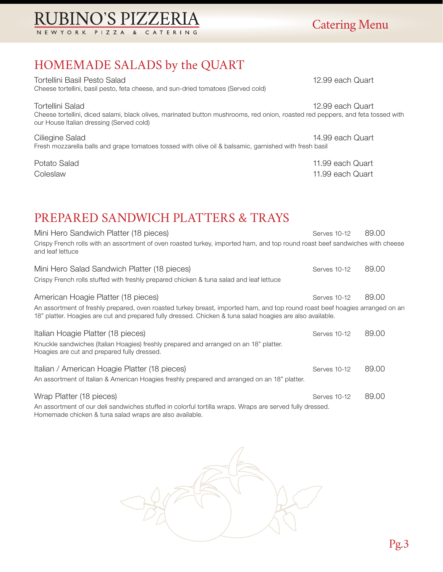### HOMEMADE SALADS by the QUART

| Tortellini Basil Pesto Salad<br>Cheese tortellini, basil pesto, feta cheese, and sun-dried tomatoes (Served cold)                                                                                      | 12.99 each Quart |
|--------------------------------------------------------------------------------------------------------------------------------------------------------------------------------------------------------|------------------|
| <b>Tortellini Salad</b><br>Cheese tortellini, diced salami, black olives, marinated button mushrooms, red onion, roasted red peppers, and feta tossed with<br>our House Italian dressing (Served cold) | 12.99 each Quart |
| Ciliegine Salad<br>Fresh mozzarella balls and grape tomatoes tossed with olive oil & balsamic, garnished with fresh basil                                                                              | 14.99 each Quart |
| Potato Salad                                                                                                                                                                                           | 11.99 each Quart |
| Coleslaw                                                                                                                                                                                               | 11.99 each Quart |

#### PREPARED SANDWICH PLATTERS & TRAYS

| Mini Hero Sandwich Platter (18 pieces)                                                                                                                                                                                                    | <b>Serves 10-12</b> | 89.00 |
|-------------------------------------------------------------------------------------------------------------------------------------------------------------------------------------------------------------------------------------------|---------------------|-------|
| Crispy French rolls with an assortment of oven roasted turkey, imported ham, and top round roast beef sandwiches with cheese<br>and leaf lettuce                                                                                          |                     |       |
| Mini Hero Salad Sandwich Platter (18 pieces)<br>Crispy French rolls stuffed with freshly prepared chicken & tuna salad and leaf lettuce                                                                                                   | Serves 10-12        | 89.00 |
| American Hoagie Platter (18 pieces)                                                                                                                                                                                                       | Serves 10-12        | 89.00 |
| An assortment of freshly prepared, oven roasted turkey breast, imported ham, and top round roast beef hoagies arranged on an<br>18" platter. Hoagies are cut and prepared fully dressed. Chicken & tuna salad hoagies are also available. |                     |       |
| Italian Hoagie Platter (18 pieces)                                                                                                                                                                                                        | Serves 10-12        | 89.00 |
| Knuckle sandwiches (Italian Hoagies) freshly prepared and arranged on an 18" platter.<br>Hoagies are cut and prepared fully dressed.                                                                                                      |                     |       |
| Italian / American Hoagie Platter (18 pieces)                                                                                                                                                                                             | Serves 10-12        | 89.00 |
| An assortment of Italian & American Hoagies freshly prepared and arranged on an 18" platter.                                                                                                                                              |                     |       |
| Wrap Platter (18 pieces)                                                                                                                                                                                                                  | Serves 10-12        | 89.00 |
| An assortment of our deli sandwiches stuffed in colorful tortilla wraps. Wraps are served fully dressed.                                                                                                                                  |                     |       |

Homemade chicken & tuna salad wraps are also available.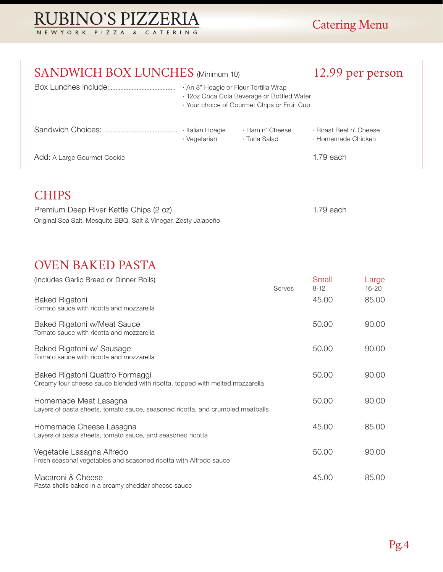| <b>SANDWICH BOX LUNCHES</b> (Minimum 10) |                                       |                                                                                           | 12.99 per person                             |
|------------------------------------------|---------------------------------------|-------------------------------------------------------------------------------------------|----------------------------------------------|
|                                          | · An 8" Hoagie or Flour Tortilla Wrap | · 12oz Coca Cola Beverage or Bottled Water<br>· Your choice of Gourmet Chips or Fruit Cup |                                              |
|                                          | · Italian Hoagie<br>· Vegetarian      | ⋅ Ham n' Cheese<br>· Tuna Salad                                                           | · Roast Beef n' Cheese<br>· Homemade Chicken |
| Add: A Large Gourmet Cookie              |                                       |                                                                                           | 1.79 each                                    |

#### **CHIPS**

Premium Deep River Kettle Chips (2 oz) 1.79 each Original Sea Salt, Mesquite BBQ, Salt & Vinegar, Zesty Jalapeño

#### OVEN BAKED PASTA

| (Includes Garlic Bread or Dinner Rolls)                                                                         | Serves | Small<br>$8-12$ | Large<br>$16 - 20$ |
|-----------------------------------------------------------------------------------------------------------------|--------|-----------------|--------------------|
| Baked Rigatoni<br>Tomato sauce with ricotta and mozzarella                                                      |        | 45.00           | 85.00              |
| Baked Rigatoni w/Meat Sauce<br>Tomato sauce with ricotta and mozzarella                                         |        | 50.00           | 90.00              |
| Baked Rigatoni w/ Sausage<br>Tomato sauce with ricotta and mozzarella                                           |        | 50.00           | 90.00              |
| Baked Rigatoni Quattro Formaggi<br>Creamy four cheese sauce blended with ricotta, topped with melted mozzarella |        | 50.00           | 90.00              |
| Homemade Meat Lasagna<br>Layers of pasta sheets, tomato sauce, seasoned ricotta, and crumbled meatballs         |        | 50.00           | 90.00              |
| Homemade Cheese Lasagna<br>Layers of pasta sheets, tomato sauce, and seasoned ricotta                           |        | 45.00           | 85.00              |
| Vegetable Lasagna Alfredo<br>Fresh seasonal vegetables and seasoned ricotta with Alfredo sauce                  |        | 50.00           | 90.00              |
| Macaroni & Cheese<br>Pasta shells baked in a creamy cheddar cheese sauce                                        |        | 45.00           | 85.00              |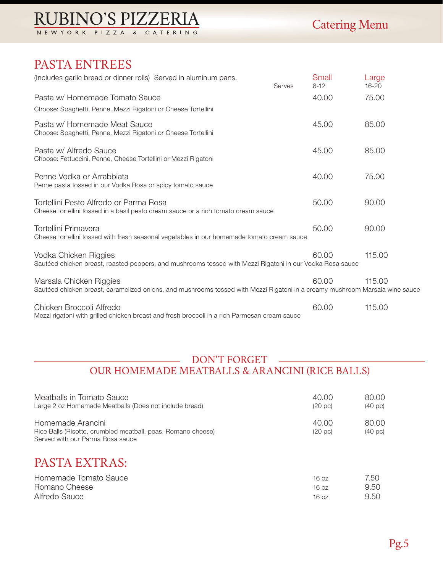#### PASTA ENTREES

| (Includes garlic bread or dinner rolls) Served in aluminum pans.                                                                                        | Serves | Small<br>$8-12$ | Large<br>$16 - 20$ |
|---------------------------------------------------------------------------------------------------------------------------------------------------------|--------|-----------------|--------------------|
| Pasta w/ Homemade Tomato Sauce                                                                                                                          |        | 40.00           | 75.00              |
| Choose: Spaghetti, Penne, Mezzi Rigatoni or Cheese Tortellini                                                                                           |        |                 |                    |
| Pasta w/ Homemade Meat Sauce<br>Choose: Spaghetti, Penne, Mezzi Rigatoni or Cheese Tortellini                                                           |        | 45.00           | 85.00              |
| Pasta w/ Alfredo Sauce<br>Choose: Fettuccini, Penne, Cheese Tortellini or Mezzi Rigatoni                                                                |        | 45.00           | 85.00              |
| Penne Vodka or Arrabbiata<br>Penne pasta tossed in our Vodka Rosa or spicy tomato sauce                                                                 |        | 40.00           | 75.00              |
| Tortellini Pesto Alfredo or Parma Rosa<br>Cheese tortellini tossed in a basil pesto cream sauce or a rich tomato cream sauce                            |        | 50.00           | 90.00              |
| Tortellini Primavera<br>Cheese tortellini tossed with fresh seasonal vegetables in our homemade tomato cream sauce                                      |        | 50.00           | 90.00              |
| Vodka Chicken Riggies<br>Sautéed chicken breast, roasted peppers, and mushrooms tossed with Mezzi Rigatoni in our Vodka Rosa sauce                      |        | 60.00           | 115.00             |
| Marsala Chicken Riggies<br>Sautéed chicken breast, caramelized onions, and mushrooms tossed with Mezzi Rigatoni in a creamy mushroom Marsala wine sauce |        | 60.00           | 115.00             |
| Chicken Broccoli Alfredo<br>Mezzi rigatoni with grilled chicken breast and fresh broccoli in a rich Parmesan cream sauce                                |        | 60.00           | 115.00             |

#### DON'T FORGET  $\overline{\phantom{a}}$ OUR HOMEMADE MEATBALLS & ARANCINI (RICE BALLS)

| Meatballs in Tomato Sauce<br>Large 2 oz Homemade Meatballs (Does not include bread)                                   | 40.00<br>$(20 \text{ pc})$ | 80.00<br>$(40 \text{ pc})$ |
|-----------------------------------------------------------------------------------------------------------------------|----------------------------|----------------------------|
| Homemade Arancini<br>Rice Balls (Risotto, crumbled meatball, peas, Romano cheese)<br>Served with our Parma Rosa sauce | 40.00<br>(20~pc)           | 80.00<br>(40~pc)           |
| <b>PASTA EXTRAS:</b>                                                                                                  |                            |                            |
| Homemade Tomato Sauce                                                                                                 | 16 oz                      | 7.50                       |
| Romano Cheese                                                                                                         | 16 oz                      | 9.50                       |
| Alfredo Sauce                                                                                                         | 16 oz                      | 9.50                       |